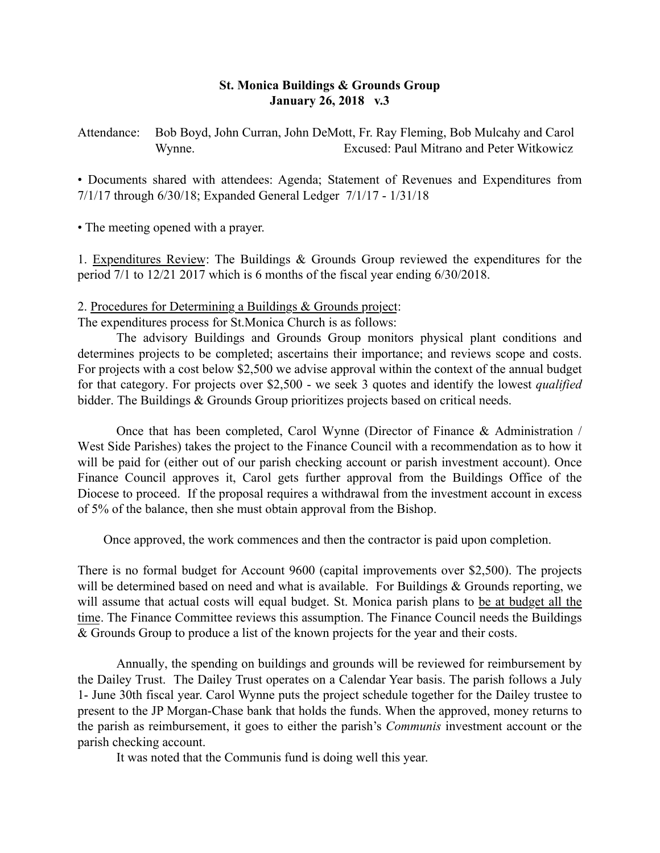### St. Monica Buildings & Grounds Group January 26, 2018 v.3

Attendance: Bob Boyd, John Curran, John DeMott, Fr. Ray Fleming, Bob Mulcahy and Carol Wynne. Excused: Paul Mitrano and Peter Witkowicz

• Documents shared with attendees: Agenda; Statement of Revenues and Expenditures from 7/1/17 through 6/30/18; Expanded General Ledger 7/1/17 - 1/31/18

• The meeting opened with a prayer.

1. Expenditures Review: The Buildings & Grounds Group reviewed the expenditures for the period 7/1 to 12/21 2017 which is 6 months of the fiscal year ending 6/30/2018.

#### 2. Procedures for Determining a Buildings & Grounds project:

The expenditures process for St.Monica Church is as follows:

The advisory Buildings and Grounds Group monitors physical plant conditions and determines projects to be completed; ascertains their importance; and reviews scope and costs. For projects with a cost below \$2,500 we advise approval within the context of the annual budget for that category. For projects over \$2,500 - we seek 3 quotes and identify the lowest *qualified*  bidder. The Buildings & Grounds Group prioritizes projects based on critical needs.

Once that has been completed, Carol Wynne (Director of Finance & Administration / West Side Parishes) takes the project to the Finance Council with a recommendation as to how it will be paid for (either out of our parish checking account or parish investment account). Once Finance Council approves it, Carol gets further approval from the Buildings Office of the Diocese to proceed. If the proposal requires a withdrawal from the investment account in excess of 5% of the balance, then she must obtain approval from the Bishop.

Once approved, the work commences and then the contractor is paid upon completion.

There is no formal budget for Account 9600 (capital improvements over \$2,500). The projects will be determined based on need and what is available. For Buildings & Grounds reporting, we will assume that actual costs will equal budget. St. Monica parish plans to be at budget all the time. The Finance Committee reviews this assumption. The Finance Council needs the Buildings & Grounds Group to produce a list of the known projects for the year and their costs.

Annually, the spending on buildings and grounds will be reviewed for reimbursement by the Dailey Trust. The Dailey Trust operates on a Calendar Year basis. The parish follows a July 1- June 30th fiscal year. Carol Wynne puts the project schedule together for the Dailey trustee to present to the JP Morgan-Chase bank that holds the funds. When the approved, money returns to the parish as reimbursement, it goes to either the parish's *Communis* investment account or the parish checking account.

It was noted that the Communis fund is doing well this year.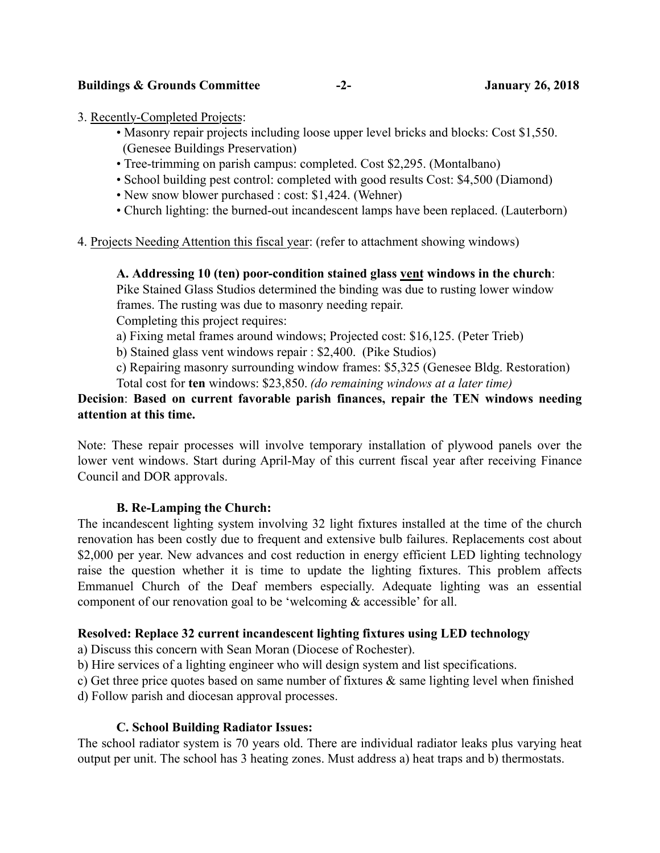### 3. Recently-Completed Projects:

- Masonry repair projects including loose upper level bricks and blocks: Cost \$1,550. (Genesee Buildings Preservation)
- Tree-trimming on parish campus: completed. Cost \$2,295. (Montalbano)
- School building pest control: completed with good results Cost: \$4,500 (Diamond)
- New snow blower purchased : cost: \$1,424. (Wehner)
- Church lighting: the burned-out incandescent lamps have been replaced. (Lauterborn)
- 4. Projects Needing Attention this fiscal year: (refer to attachment showing windows)

## A. Addressing 10 (ten) poor-condition stained glass vent windows in the church:

Pike Stained Glass Studios determined the binding was due to rusting lower window frames. The rusting was due to masonry needing repair.

Completing this project requires:

- a) Fixing metal frames around windows; Projected cost: \$16,125. (Peter Trieb)
- b) Stained glass vent windows repair : \$2,400. (Pike Studios)

c) Repairing masonry surrounding window frames: \$5,325 (Genesee Bldg. Restoration)

Total cost for ten windows: \$23,850. *(do remaining windows at a later time)*

# Decision: Based on current favorable parish finances, repair the TEN windows needing attention at this time.

Note: These repair processes will involve temporary installation of plywood panels over the lower vent windows. Start during April-May of this current fiscal year after receiving Finance Council and DOR approvals.

## B. Re-Lamping the Church:

The incandescent lighting system involving 32 light fixtures installed at the time of the church renovation has been costly due to frequent and extensive bulb failures. Replacements cost about \$2,000 per year. New advances and cost reduction in energy efficient LED lighting technology raise the question whether it is time to update the lighting fixtures. This problem affects Emmanuel Church of the Deaf members especially. Adequate lighting was an essential component of our renovation goal to be 'welcoming & accessible' for all.

## Resolved: Replace 32 current incandescent lighting fixtures using LED technology

a) Discuss this concern with Sean Moran (Diocese of Rochester).

b) Hire services of a lighting engineer who will design system and list specifications.

c) Get three price quotes based on same number of fixtures & same lighting level when finished

d) Follow parish and diocesan approval processes.

## C. School Building Radiator Issues:

The school radiator system is 70 years old. There are individual radiator leaks plus varying heat output per unit. The school has 3 heating zones. Must address a) heat traps and b) thermostats.